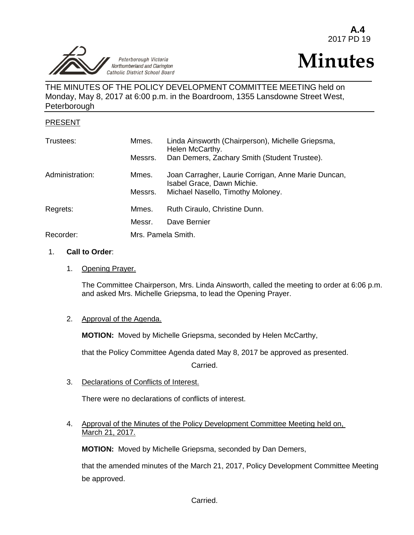Peterborough Victoria<br>Northumberland and Clarington Catholic District School Board j

# **Minutes**

THE MINUTES OF THE POLICY DEVELOPMENT COMMITTEE MEETING held on Monday, May 8, 2017 at 6:00 p.m. in the Boardroom, 1355 Lansdowne Street West, **Peterborough** 

## PRESENT

| Trustees:       | Mmes.   | Linda Ainsworth (Chairperson), Michelle Griepsma,<br>Helen McCarthy.              |  |
|-----------------|---------|-----------------------------------------------------------------------------------|--|
|                 | Messrs. | Dan Demers, Zachary Smith (Student Trustee).                                      |  |
| Administration: | Mmes.   | Joan Carragher, Laurie Corrigan, Anne Marie Duncan,<br>Isabel Grace, Dawn Michie. |  |
|                 | Messrs. | Michael Nasello, Timothy Moloney.                                                 |  |
| Regrets:        | Mmes.   | Ruth Ciraulo, Christine Dunn.                                                     |  |
|                 | Messr.  | Dave Bernier                                                                      |  |
| Recorder:       |         | Mrs. Pamela Smith.                                                                |  |

#### 1. **Call to Order**:

1. Opening Prayer.

The Committee Chairperson, Mrs. Linda Ainsworth, called the meeting to order at 6:06 p.m. and asked Mrs. Michelle Griepsma, to lead the Opening Prayer.

### 2. Approval of the Agenda.

**MOTION:** Moved by Michelle Griepsma, seconded by Helen McCarthy,

that the Policy Committee Agenda dated May 8, 2017 be approved as presented.

Carried.

## 3. Declarations of Conflicts of Interest.

There were no declarations of conflicts of interest.

4. Approval of the Minutes of the Policy Development Committee Meeting held on, March 21, 2017.

**MOTION:** Moved by Michelle Griepsma, seconded by Dan Demers,

that the amended minutes of the March 21, 2017, Policy Development Committee Meeting be approved.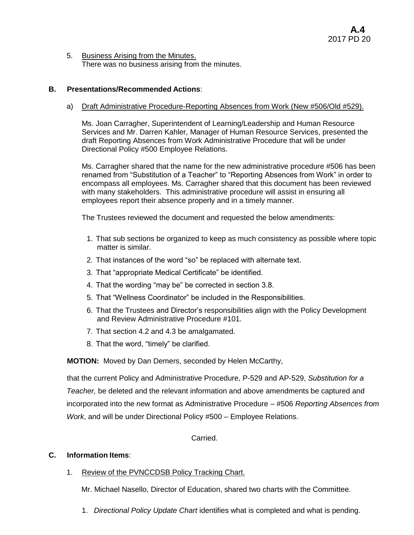5. Business Arising from the Minutes. There was no business arising  $\overline{\text{from}}$  the minutes.

### **B. Presentations/Recommended Actions**:

#### a) Draft Administrative Procedure-Reporting Absences from Work (New #506/Old #529).

Ms. Joan Carragher, Superintendent of Learning/Leadership and Human Resource Services and Mr. Darren Kahler, Manager of Human Resource Services, presented the draft Reporting Absences from Work Administrative Procedure that will be under Directional Policy #500 Employee Relations.

Ms. Carragher shared that the name for the new administrative procedure #506 has been renamed from "Substitution of a Teacher" to "Reporting Absences from Work" in order to encompass all employees. Ms. Carragher shared that this document has been reviewed with many stakeholders. This administrative procedure will assist in ensuring all employees report their absence properly and in a timely manner.

The Trustees reviewed the document and requested the below amendments:

- 1. That sub sections be organized to keep as much consistency as possible where topic matter is similar.
- 2. That instances of the word "so" be replaced with alternate text.
- 3. That "appropriate Medical Certificate" be identified.
- 4. That the wording "may be" be corrected in section 3.8.
- 5. That "Wellness Coordinator" be included in the Responsibilities.
- 6. That the Trustees and Director's responsibilities align with the Policy Development and Review Administrative Procedure #101.
- 7. That section 4.2 and 4.3 be amalgamated.
- 8. That the word, "timely" be clarified.

**MOTION:** Moved by Dan Demers, seconded by Helen McCarthy,

that the current Policy and Administrative Procedure, P-529 and AP-529, *Substitution for a Teacher,* be deleted and the relevant information and above amendments be captured and incorporated into the new format as Administrative Procedure – #506 *Reporting Absences from Work*, and will be under Directional Policy #500 – Employee Relations.

Carried.

### **C. Information Items**:

1. Review of the PVNCCDSB Policy Tracking Chart.

Mr. Michael Nasello, Director of Education, shared two charts with the Committee.

1. *Directional Policy Update Chart* identifies what is completed and what is pending.